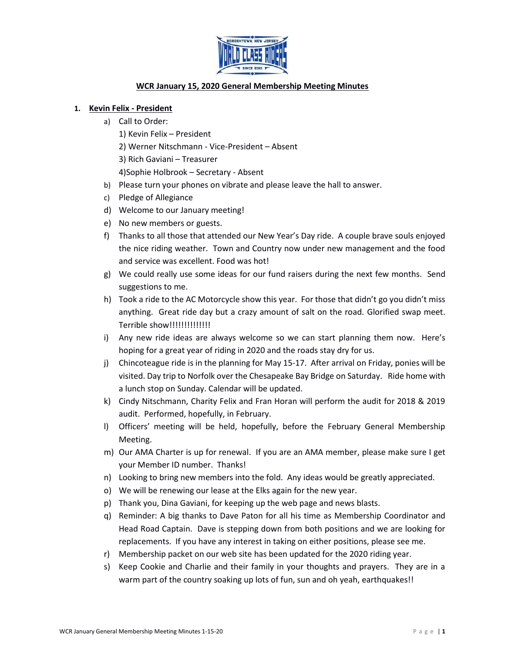

# **WCR January 15, 2020 General Membership Meeting Minutes**

## **1. Kevin Felix - President**

- a) Call to Order:
	- 1) Kevin Felix President
	- 2) Werner Nitschmann Vice-President Absent
	- 3) Rich Gaviani Treasurer
	- 4)Sophie Holbrook Secretary Absent
- b) Please turn your phones on vibrate and please leave the hall to answer.
- c) Pledge of Allegiance
- d) Welcome to our January meeting!
- e) No new members or guests.
- f) Thanks to all those that attended our New Year's Day ride. A couple brave souls enjoyed the nice riding weather. Town and Country now under new management and the food and service was excellent. Food was hot!
- g) We could really use some ideas for our fund raisers during the next few months. Send suggestions to me.
- h) Took a ride to the AC Motorcycle show this year. For those that didn't go you didn't miss anything. Great ride day but a crazy amount of salt on the road. Glorified swap meet. Terrible show!!!!!!!!!!!!!!
- i) Any new ride ideas are always welcome so we can start planning them now. Here's hoping for a great year of riding in 2020 and the roads stay dry for us.
- j) Chincoteague ride is in the planning for May 15-17. After arrival on Friday, ponies will be visited. Day trip to Norfolk over the Chesapeake Bay Bridge on Saturday. Ride home with a lunch stop on Sunday. Calendar will be updated.
- k) Cindy Nitschmann, Charity Felix and Fran Horan will perform the audit for 2018 & 2019 audit. Performed, hopefully, in February.
- l) Officers' meeting will be held, hopefully, before the February General Membership Meeting.
- m) Our AMA Charter is up for renewal. If you are an AMA member, please make sure I get your Member ID number. Thanks!
- n) Looking to bring new members into the fold. Any ideas would be greatly appreciated.
- o) We will be renewing our lease at the Elks again for the new year.
- p) Thank you, Dina Gaviani, for keeping up the web page and news blasts.
- q) Reminder: A big thanks to Dave Paton for all his time as Membership Coordinator and Head Road Captain. Dave is stepping down from both positions and we are looking for replacements. If you have any interest in taking on either positions, please see me.
- r) Membership packet on our web site has been updated for the 2020 riding year.
- s) Keep Cookie and Charlie and their family in your thoughts and prayers. They are in a warm part of the country soaking up lots of fun, sun and oh yeah, earthquakes!!